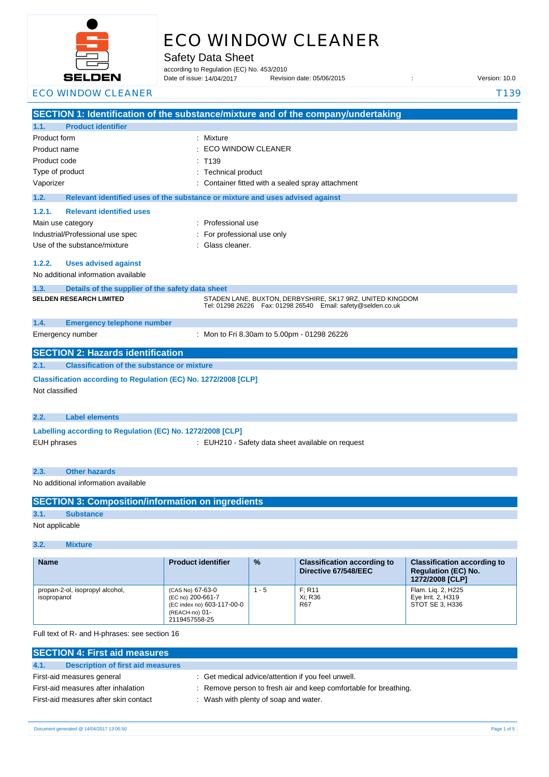

# ECO WINDOW CLEANER

Safety Data Sheet

according to Regulation (EC) No. 453/2010

Date of issue: 14/04/2017

Date of issue: Revision date: 05/06/2015 : Version: 10.0

### ECO WINDOW CLEANER T139

|                                                                                                                                                                                            | SECTION 1: Identification of the substance/mixture and of the company/undertaking                                                                                                                                                                        |  |
|--------------------------------------------------------------------------------------------------------------------------------------------------------------------------------------------|----------------------------------------------------------------------------------------------------------------------------------------------------------------------------------------------------------------------------------------------------------|--|
| <b>Product identifier</b><br>1.1.                                                                                                                                                          |                                                                                                                                                                                                                                                          |  |
| Product form<br>Product name<br>Product code<br>Type of product<br>Vaporizer<br>1.2.<br><b>Relevant identified uses</b><br>1.2.1.<br>Main use category<br>Industrial/Professional use spec | Mixture<br>ECO WINDOW CLEANER<br>: T139<br><b>Technical product</b><br>Container fitted with a sealed spray attachment<br>Relevant identified uses of the substance or mixture and uses advised against<br>Professional use<br>For professional use only |  |
| Use of the substance/mixture<br>1.2.2.<br><b>Uses advised against</b><br>No additional information available                                                                               | : Glass cleaner.                                                                                                                                                                                                                                         |  |
| 1.3.<br>Details of the supplier of the safety data sheet<br><b>SELDEN RESEARCH LIMITED</b>                                                                                                 | STADEN LANE, BUXTON, DERBYSHIRE, SK17 9RZ, UNITED KINGDOM<br>Tel: 01298 26226    Fax: 01298 26540    Email: safety@selden.co.uk                                                                                                                          |  |
| <b>Emergency telephone number</b><br>1.4.                                                                                                                                                  |                                                                                                                                                                                                                                                          |  |
| Emergency number                                                                                                                                                                           | : Mon to Fri 8.30am to 5.00pm - 01298 26226                                                                                                                                                                                                              |  |
| <b>SECTION 2: Hazards identification</b>                                                                                                                                                   |                                                                                                                                                                                                                                                          |  |
| <b>Classification of the substance or mixture</b><br>2.1.                                                                                                                                  |                                                                                                                                                                                                                                                          |  |
| Classification according to Regulation (EC) No. 1272/2008 [CLP]<br>Not classified                                                                                                          |                                                                                                                                                                                                                                                          |  |
| 2.2.<br><b>Label elements</b>                                                                                                                                                              |                                                                                                                                                                                                                                                          |  |
| Labelling according to Regulation (EC) No. 1272/2008 [CLP]<br><b>EUH phrases</b>                                                                                                           | : EUH210 - Safety data sheet available on request                                                                                                                                                                                                        |  |
| <b>Other hazards</b><br>2.3.                                                                                                                                                               |                                                                                                                                                                                                                                                          |  |
| No additional information available                                                                                                                                                        |                                                                                                                                                                                                                                                          |  |

|                | <b>SECTION 3: Composition/information on ingredients</b> |
|----------------|----------------------------------------------------------|
| 3.1.           | <b>Substance</b>                                         |
| Not applicable |                                                          |

#### **3.2. Mixture**

| <b>Name</b>                                    | <b>Product identifier</b>                                                                              | $\frac{9}{6}$ | <b>Classification according to</b><br>Directive 67/548/EEC | <b>Classification according to</b><br><b>Regulation (EC) No.</b><br>1272/2008 [CLP] |
|------------------------------------------------|--------------------------------------------------------------------------------------------------------|---------------|------------------------------------------------------------|-------------------------------------------------------------------------------------|
| propan-2-ol, isopropyl alcohol,<br>isopropanol | (CAS No) 67-63-0<br>(EC no) 200-661-7<br>(EC index no) 603-117-00-0<br>(REACH-no) 01-<br>2119457558-25 | $1 - 5$       | F: R11<br>Xi: R36<br>R67                                   | Flam. Lig. 2, H225<br>Eye Irrit. 2, H319<br>STOT SE 3. H336                         |

Full text of R- and H-phrases: see section 16

| <b>SECTION 4: First aid measures</b>      |                                                                  |
|-------------------------------------------|------------------------------------------------------------------|
| 4.1.<br>Description of first aid measures |                                                                  |
| First-aid measures general                | : Get medical advice/attention if you feel unwell.               |
| First-aid measures after inhalation       | : Remove person to fresh air and keep comfortable for breathing. |
| First-aid measures after skin contact     | : Wash with plenty of soap and water.                            |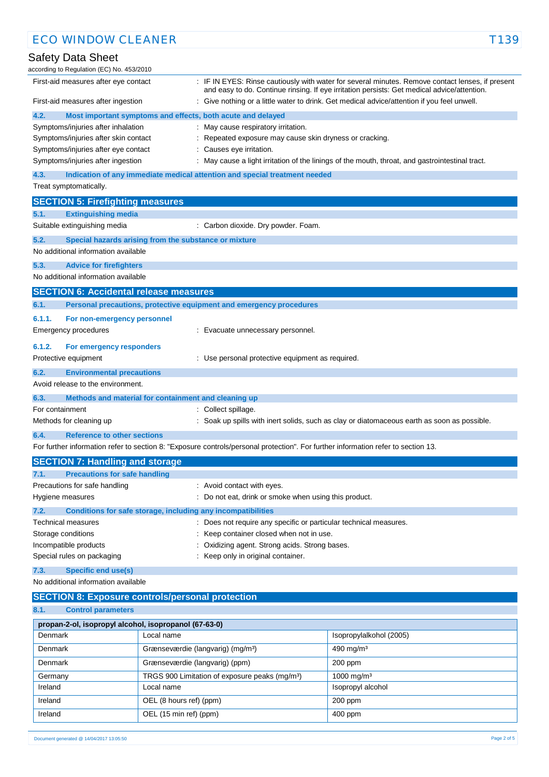| <b>ECO WINDOW CLEANER</b>                               |                                                                                                                                   | T139                                                                                                                                                                                            |
|---------------------------------------------------------|-----------------------------------------------------------------------------------------------------------------------------------|-------------------------------------------------------------------------------------------------------------------------------------------------------------------------------------------------|
| Safety Data Sheet                                       |                                                                                                                                   |                                                                                                                                                                                                 |
| according to Regulation (EC) No. 453/2010               |                                                                                                                                   |                                                                                                                                                                                                 |
| First-aid measures after eye contact                    |                                                                                                                                   | : IF IN EYES: Rinse cautiously with water for several minutes. Remove contact lenses, if present<br>and easy to do. Continue rinsing. If eye irritation persists: Get medical advice/attention. |
| First-aid measures after ingestion                      |                                                                                                                                   | : Give nothing or a little water to drink. Get medical advice/attention if you feel unwell.                                                                                                     |
| 4.2.                                                    | Most important symptoms and effects, both acute and delayed                                                                       |                                                                                                                                                                                                 |
| Symptoms/injuries after inhalation                      | : May cause respiratory irritation.                                                                                               |                                                                                                                                                                                                 |
| Symptoms/injuries after skin contact                    | Repeated exposure may cause skin dryness or cracking.                                                                             |                                                                                                                                                                                                 |
| Symptoms/injuries after eye contact                     | : Causes eye irritation.                                                                                                          |                                                                                                                                                                                                 |
| Symptoms/injuries after ingestion                       |                                                                                                                                   | : May cause a light irritation of the linings of the mouth, throat, and gastrointestinal tract.                                                                                                 |
| 4.3.                                                    | Indication of any immediate medical attention and special treatment needed                                                        |                                                                                                                                                                                                 |
| Treat symptomatically.                                  |                                                                                                                                   |                                                                                                                                                                                                 |
| <b>SECTION 5: Firefighting measures</b>                 |                                                                                                                                   |                                                                                                                                                                                                 |
| <b>Extinguishing media</b><br>5.1.                      |                                                                                                                                   |                                                                                                                                                                                                 |
| Suitable extinguishing media                            | : Carbon dioxide. Dry powder. Foam.                                                                                               |                                                                                                                                                                                                 |
| 5.2.                                                    | Special hazards arising from the substance or mixture                                                                             |                                                                                                                                                                                                 |
| No additional information available                     |                                                                                                                                   |                                                                                                                                                                                                 |
| 5.3.<br><b>Advice for firefighters</b>                  |                                                                                                                                   |                                                                                                                                                                                                 |
| No additional information available                     |                                                                                                                                   |                                                                                                                                                                                                 |
| <b>SECTION 6: Accidental release measures</b>           |                                                                                                                                   |                                                                                                                                                                                                 |
| 6.1.                                                    | Personal precautions, protective equipment and emergency procedures                                                               |                                                                                                                                                                                                 |
| 6.1.1.<br>For non-emergency personnel                   |                                                                                                                                   |                                                                                                                                                                                                 |
| <b>Emergency procedures</b>                             | : Evacuate unnecessary personnel.                                                                                                 |                                                                                                                                                                                                 |
| 6.1.2.<br>For emergency responders                      |                                                                                                                                   |                                                                                                                                                                                                 |
| Protective equipment                                    | : Use personal protective equipment as required.                                                                                  |                                                                                                                                                                                                 |
| 6.2.<br><b>Environmental precautions</b>                |                                                                                                                                   |                                                                                                                                                                                                 |
| Avoid release to the environment.                       |                                                                                                                                   |                                                                                                                                                                                                 |
| 6.3.                                                    | Methods and material for containment and cleaning up                                                                              |                                                                                                                                                                                                 |
| For containment                                         | : Collect spillage.                                                                                                               |                                                                                                                                                                                                 |
| Methods for cleaning up                                 |                                                                                                                                   | : Soak up spills with inert solids, such as clay or diatomaceous earth as soon as possible.                                                                                                     |
| 6.4.<br><b>Reference to other sections</b>              |                                                                                                                                   |                                                                                                                                                                                                 |
|                                                         | For further information refer to section 8: "Exposure controls/personal protection". For further information refer to section 13. |                                                                                                                                                                                                 |
| <b>SECTION 7: Handling and storage</b>                  |                                                                                                                                   |                                                                                                                                                                                                 |
| <b>Precautions for safe handling</b><br>7.1.            |                                                                                                                                   |                                                                                                                                                                                                 |
| Precautions for safe handling                           | : Avoid contact with eyes.                                                                                                        |                                                                                                                                                                                                 |
| Hygiene measures                                        | : Do not eat, drink or smoke when using this product.                                                                             |                                                                                                                                                                                                 |
| 7.2.                                                    | Conditions for safe storage, including any incompatibilities                                                                      |                                                                                                                                                                                                 |
| Technical measures                                      | : Does not require any specific or particular technical measures.                                                                 |                                                                                                                                                                                                 |
| Storage conditions                                      | : Keep container closed when not in use.                                                                                          |                                                                                                                                                                                                 |
| Incompatible products                                   | Oxidizing agent. Strong acids. Strong bases.                                                                                      |                                                                                                                                                                                                 |
| Special rules on packaging                              | : Keep only in original container.                                                                                                |                                                                                                                                                                                                 |
| 7.3.<br><b>Specific end use(s)</b>                      |                                                                                                                                   |                                                                                                                                                                                                 |
| No additional information available                     |                                                                                                                                   |                                                                                                                                                                                                 |
| <b>SECTION 8: Exposure controls/personal protection</b> |                                                                                                                                   |                                                                                                                                                                                                 |
| <b>Control parameters</b><br>8.1.                       |                                                                                                                                   |                                                                                                                                                                                                 |
| propan-2-ol, isopropyl alcohol, isopropanol (67-63-0)   |                                                                                                                                   |                                                                                                                                                                                                 |
| Denmark                                                 | Local name                                                                                                                        | Isopropylalkohol (2005)                                                                                                                                                                         |
| Denmark                                                 | Grænseværdie (langvarig) (mg/m <sup>3</sup> )                                                                                     | 490 mg/m $3$                                                                                                                                                                                    |
| Denmark                                                 | Grænseværdie (langvarig) (ppm)                                                                                                    | 200 ppm                                                                                                                                                                                         |
| Germany                                                 | TRGS 900 Limitation of exposure peaks (mg/m <sup>3</sup> )                                                                        | 1000 mg/m <sup>3</sup>                                                                                                                                                                          |

Ireland **International Local name International Constantine Constantine Constantine Constantine Constantine Constantine Constantine Constantine Constantine Constantine Constantine Constantine Constantine Constantine Cons** Ireland OEL (8 hours ref) (ppm) 200 ppm Ireland OEL (15 min ref) (ppm) 400 ppm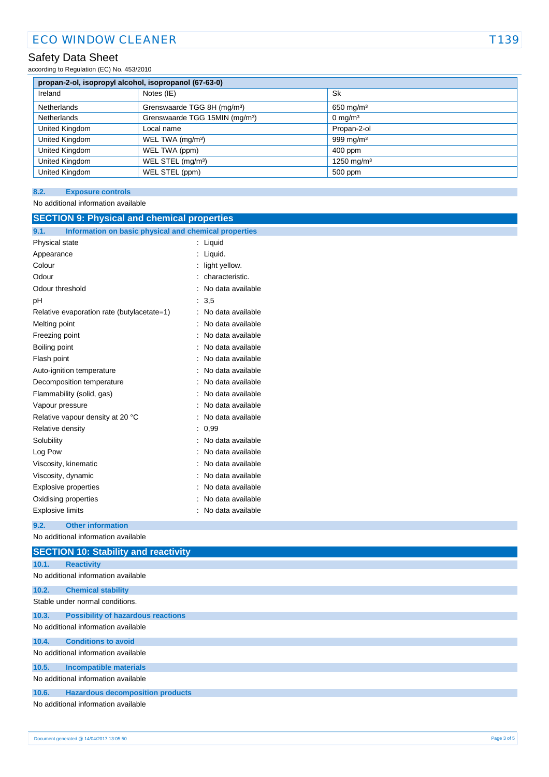## ECO WINDOW CLEANER T139

### Safety Data Sheet

according to Regulation (EC) No. 453/2010

| propan-2-ol, isopropyl alcohol, isopropanol (67-63-0) |                                            |                        |  |
|-------------------------------------------------------|--------------------------------------------|------------------------|--|
| Ireland                                               | Notes (IE)                                 | <b>Sk</b>              |  |
| Netherlands                                           | Grenswaarde TGG 8H (mg/m <sup>3</sup> )    | 650 mg/m <sup>3</sup>  |  |
| Netherlands                                           | Grenswaarde TGG 15MIN (mg/m <sup>3</sup> ) | $0 \text{ mg/m}^3$     |  |
| United Kingdom                                        | Local name                                 | Propan-2-ol            |  |
| United Kingdom                                        | WEL TWA (mg/m <sup>3</sup> )               | 999 mg/m $3$           |  |
| United Kingdom                                        | WEL TWA (ppm)                              | 400 ppm                |  |
| United Kingdom                                        | WEL STEL (mg/m <sup>3</sup> )              | 1250 mg/m <sup>3</sup> |  |
| United Kingdom                                        | WEL STEL (ppm)                             | 500 ppm                |  |

### **8.2. Exposure controls**

No additional information available

| <b>SECTION 9: Physical and chemical properties</b>            |                     |  |  |
|---------------------------------------------------------------|---------------------|--|--|
| Information on basic physical and chemical properties<br>9.1. |                     |  |  |
| Physical state                                                | : Liquid            |  |  |
| Appearance                                                    | : Liquid.           |  |  |
| Colour                                                        | light yellow.       |  |  |
| Odour                                                         | characteristic.     |  |  |
| Odour threshold                                               | No data available   |  |  |
| рH                                                            | : 3,5               |  |  |
| Relative evaporation rate (butylacetate=1)                    | : No data available |  |  |
| Melting point                                                 | No data available   |  |  |
| Freezing point                                                | No data available   |  |  |
| Boiling point                                                 | No data available   |  |  |
| Flash point                                                   | No data available   |  |  |
| Auto-ignition temperature                                     | No data available   |  |  |
| Decomposition temperature                                     | No data available   |  |  |
| Flammability (solid, gas)                                     | No data available   |  |  |
| Vapour pressure                                               | No data available   |  |  |
| Relative vapour density at 20 °C                              | No data available   |  |  |
| Relative density                                              | : 0,99              |  |  |
| Solubility                                                    | No data available   |  |  |
| Log Pow                                                       | No data available   |  |  |
| Viscosity, kinematic                                          | No data available   |  |  |
| Viscosity, dynamic                                            | No data available   |  |  |
| <b>Explosive properties</b>                                   | No data available   |  |  |
| Oxidising properties                                          | No data available   |  |  |
| <b>Explosive limits</b>                                       | : No data available |  |  |
| <b>Other information</b><br>9.2.                              |                     |  |  |
| No additional information available                           |                     |  |  |
| <b>SECTION 10: Stability and reactivity</b>                   |                     |  |  |
| 10.1.<br><b>Reactivity</b>                                    |                     |  |  |
| No additional information available                           |                     |  |  |
| 10.2.<br><b>Chemical stability</b>                            |                     |  |  |
| Stable under normal conditions.                               |                     |  |  |
| 10.3.<br><b>Possibility of hazardous reactions</b>            |                     |  |  |
| No additional information available                           |                     |  |  |
| <b>Conditions to avoid</b><br>10.4.                           |                     |  |  |
| No additional information available                           |                     |  |  |
| 10.5.<br><b>Incompatible materials</b>                        |                     |  |  |
| No additional information available                           |                     |  |  |
| 10.6.<br><b>Hazardous decomposition products</b>              |                     |  |  |
| No additional information available                           |                     |  |  |
|                                                               |                     |  |  |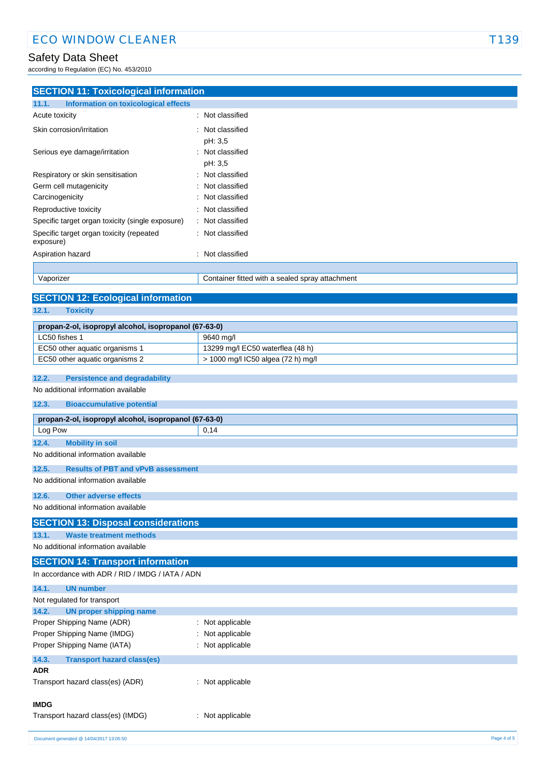### Safety Data Sheet

according to Regulation (EC) No. 453/2010

| <b>SECTION 11: Toxicological information</b><br><b>Information on toxicological effects</b><br>11.1. |                                                 |  |
|------------------------------------------------------------------------------------------------------|-------------------------------------------------|--|
| Acute toxicity                                                                                       | Not classified                                  |  |
|                                                                                                      |                                                 |  |
| Skin corrosion/irritation                                                                            | Not classified                                  |  |
|                                                                                                      | pH: 3,5                                         |  |
| Serious eye damage/irritation                                                                        | : Not classified                                |  |
|                                                                                                      | pH: 3,5                                         |  |
| Respiratory or skin sensitisation                                                                    | Not classified                                  |  |
| Germ cell mutagenicity                                                                               | Not classified                                  |  |
| Carcinogenicity                                                                                      | Not classified                                  |  |
| Reproductive toxicity                                                                                | Not classified                                  |  |
| Specific target organ toxicity (single exposure)                                                     | Not classified                                  |  |
| Specific target organ toxicity (repeated<br>exposure)                                                | Not classified                                  |  |
| Aspiration hazard                                                                                    | Not classified<br>$\blacksquare$                |  |
|                                                                                                      |                                                 |  |
| Vaporizer                                                                                            | Container fitted with a sealed spray attachment |  |
|                                                                                                      |                                                 |  |
| <b>SECTION 12: Ecological information</b>                                                            |                                                 |  |
| 12.1.<br><b>Toxicity</b>                                                                             |                                                 |  |
| propan-2-ol, isopropyl alcohol, isopropanol (67-63-0)                                                |                                                 |  |
| LC50 fishes 1                                                                                        | 9640 mg/l                                       |  |
| EC50 other aquatic organisms 1                                                                       | 13299 mg/l EC50 waterflea (48 h)                |  |
| EC50 other aquatic organisms 2                                                                       | > 1000 mg/l IC50 algea (72 h) mg/l              |  |
|                                                                                                      |                                                 |  |
| 12.2.<br><b>Persistence and degradability</b>                                                        |                                                 |  |
| No additional information available                                                                  |                                                 |  |
| 12.3.<br><b>Bioaccumulative potential</b>                                                            |                                                 |  |
| propan-2-ol, isopropyl alcohol, isopropanol (67-63-0)                                                |                                                 |  |
| Log Pow                                                                                              | 0,14                                            |  |
| 12.4.<br><b>Mobility in soil</b>                                                                     |                                                 |  |
| No additional information available                                                                  |                                                 |  |
| 12.5.<br><b>Results of PBT and vPvB assessment</b>                                                   |                                                 |  |
| No additional information available                                                                  |                                                 |  |
| 12.6.<br><b>Other adverse effects</b>                                                                |                                                 |  |
| No additional information available                                                                  |                                                 |  |
| APAPIALLIA BL                                                                                        |                                                 |  |

### **SECTION 13: Disposal considerations**

**13.1. Waste treatment methods**

### No additional information available

**SECTION 14: Transport information**

In accordance with ADR / RID / IMDG / IATA / ADN

| 14.1.<br><b>UN number</b>                  |                  |
|--------------------------------------------|------------------|
| Not regulated for transport                |                  |
| UN proper shipping name<br>14.2.           |                  |
| Proper Shipping Name (ADR)                 | : Not applicable |
| Proper Shipping Name (IMDG)                | : Not applicable |
| Proper Shipping Name (IATA)                | : Not applicable |
| <b>Transport hazard class(es)</b><br>14.3. |                  |
| <b>ADR</b>                                 |                  |
| Transport hazard class(es) (ADR)           | : Not applicable |
|                                            |                  |
| <b>IMDG</b>                                |                  |
| Transport hazard class(es) (IMDG)          | : Not applicable |
|                                            |                  |